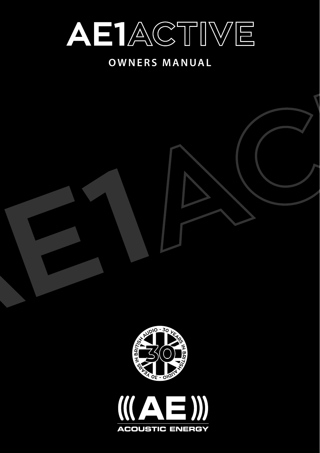

# **OWNERS MANUAL**



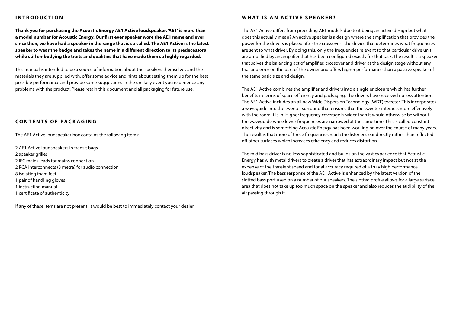# **INTRODUCTION**

**Thank you for purchasing the Acoustic Energy AE1 Active loudspeaker. 'AE1' is more than a model number for Acoustic Energy. Our first ever speaker wore the AE1 name and ever since then, we have had a speaker in the range that is so called. The AE1 Active is the latest speaker to wear the badge and takes the name in a different direction to its predecessors while still embodying the traits and qualities that have made them so highly regarded.** 

This manual is intended to be a source of information about the speakers themselves and the materials they are supplied with, offer some advice and hints about setting them up for the best possible performance and provide some suggestions in the unlikely event you experience any problems with the product. Please retain this document and all packaging for future use.

# **CONTENTS OF PACKAGING**

The AE1 Active loudspeaker box contains the following items:

2 AE1 Active loudspeakers in transit bags 2 speaker grilles 2 IEC mains leads for mains connection 2 RCA interconnects (3 metre) for audio connection 8 isolating foam feet 1 pair of handling gloves 1 instruction manual 1 certificate of authenticity

If any of these items are not present, it would be best to immediately contact your dealer.

## **W hat i s an ac t i v e sp eak e r ?**

The AE1 Active differs from preceding AE1 models due to it being an active design but what does this actually mean? An active speaker is a design where the amplification that provides the power for the drivers is placed after the crossover - the device that determines what frequencies are sent to what driver. By doing this, only the frequencies relevant to that particular drive unit are amplified by an amplifier that has been configured exactly for that task. The result is a speaker that solves the balancing act of amplifier, crossover and driver at the design stage without any trial and error on the part of the owner and offers higher performance than a passive speaker of the same basic size and design.

The AE1 Active combines the amplifier and drivers into a single enclosure which has further benefits in terms of space efficiency and packaging. The drivers have received no less attention. The AE1 Active includes an all new Wide Dispersion Technology (WDT) tweeter. This incorporates a waveguide into the tweeter surround that ensures that the tweeter interacts more effectively with the room it is in. Higher frequency coverage is wider than it would otherwise be without the waveguide while lower frequencies are narrowed at the same time. This is called constant directivity and is something Acoustic Energy has been working on over the course of many years. The result is that more of these frequencies reach the listener's ear directly rather than reflected off other surfaces which increases efficiency and reduces distortion.

The mid bass driver is no less sophisticated and builds on the vast experience that Acoustic Energy has with metal drivers to create a driver that has extraordinary impact but not at the expense of the transient speed and tonal accuracy required of a truly high performance loudspeaker. The bass response of the AE1 Active is enhanced by the latest version of the slotted bass port used on a number of our speakers. The slotted profile allows for a large surface area that does not take up too much space on the speaker and also reduces the audibility of the air passing through it.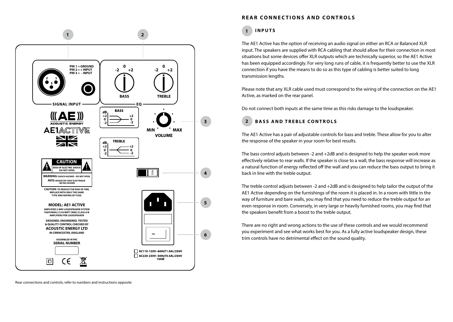

# **REAR CONNECTIONS AND CONTROLS**

#### **I n p u t s 1**

The AE1 Active has the option of receiving an audio signal on either an RCA or Balanced XLR input. The speakers are supplied with RCA cabling that should allow for their connection in most situations but some devices offer XLR outputs which are technically superior, so the AE1 Active has been equipped accordingly. For very long runs of cable, it is frequently better to use the XLR connection if you have the means to do so as this type of cabling is better suited to long transmission lengths.

Please note that any XLR cable used must correspond to the wiring of the connection on the AE1 Active, as marked on the rear panel.

Do not connect both inputs at the same time as this risks damage to the loudspeaker.

#### **BASS AND TREBLE CONTROLS 2**

The AE1 Active has a pair of adjustable controls for bass and treble. These allow for you to alter the response of the speaker in your room for best results.

The bass control adjusts between -2 and +2dB and is designed to help the speaker work more effectively relative to rear walls. If the speaker is close to a wall, the bass response will increase as a natural function of energy reflected off the wall and you can reduce the bass output to bring it back in line with the treble output.

The treble control adjusts between -2 and +2dB and is designed to help tailor the output of the AE1 Active depending on the furnishings of the room it is placed in. In a room with little in the way of furniture and bare walls, you may find that you need to reduce the treble output for an even response in room. Conversely, in very large or heavily furnished rooms, you may find that the speakers benefit from a boost to the treble output.

There are no right and wrong actions to the use of these controls and we would recommend you experiment and see what works best for you. As a fully active loudspeaker design, these trim controls have no detrimental effect on the sound quality.

Rear connections and controls, refer to numbers and instructions opposite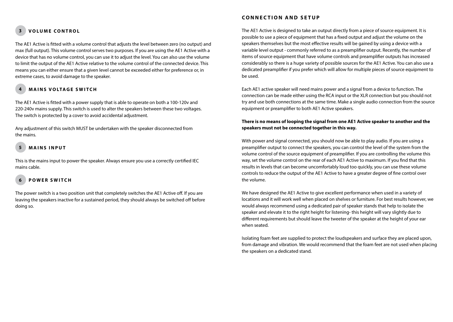#### **V olum e control 3**

The AE1 Active is fitted with a volume control that adjusts the level between zero (no output) and max (full output). This volume control serves two purposes. If you are using the AE1 Active with a device that has no volume control, you can use it to adjust the level. You can also use the volume to limit the output of the AE1 Active relative to the volume control of the connected device. This means you can either ensure that a given level cannot be exceeded either for preference or, in extreme cases, to avoid damage to the speaker.

#### **Main s vo ltage s wi tch 4**

The AE1 Active is fitted with a power supply that is able to operate on both a 100-120v and 220-240v mains supply. This switch is used to alter the speakers between these two voltages. The switch is protected by a cover to avoid accidental adjustment.

Any adjustment of this switch MUST be undertaken with the speaker disconnected from the mains.

#### **Mains input 5**

This is the mains input to power the speaker. Always ensure you use a correctly certified IEC mains cable.

#### **P o we r Swi tch 6**

The power switch is a two position unit that completely switches the AE1 Active off. If you are leaving the speakers inactive for a sustained period, they should always be switched off before doing so.

# **CONNECTION AND SETUP**

The AE1 Active is designed to take an output directly from a piece of source equipment. It is possible to use a piece of equipment that has a fixed output and adjust the volume on the speakers themselves but the most effective results will be gained by using a device with a variable level output - commonly referred to as a preamplifier output. Recently, the number of items of source equipment that have volume controls and preamplifier outputs has increased considerably so there is a huge variety of possible sources for the AE1 Active. You can also use a dedicated preamplifier if you prefer which will allow for multiple pieces of source equipment to be used.

Each AE1 active speaker will need mains power and a signal from a device to function. The connection can be made either using the RCA input or the XLR connection but you should not try and use both connections at the same time. Make a single audio connection from the source equipment or preamplifier to both AE1 Active speakers.

### **There is no means of looping the signal from one AE1 Active speaker to another and the speakers must not be connected together in this way.**

With power and signal connected, you should now be able to play audio. If you are using a preamplifier output to connect the speakers, you can control the level of the system from the volume control of the source equipment of preamplifier. If you are controlling the volume this way, set the volume control on the rear of each AE1 Active to maximum. If you find that this results in levels that can become uncomfortably loud too quickly, you can use these volume controls to reduce the output of the AE1 Active to have a greater degree of fine control over the volume.

We have designed the AE1 Active to give excellent performance when used in a variety of locations and it will work well when placed on shelves or furniture. For best results however, we would always recommend using a dedicated pair of speaker stands that help to isolate the speaker and elevate it to the right height for listening- this height will vary slightly due to different requirements but should leave the tweeter of the speaker at the height of your ear when seated.

Isolating foam feet are supplied to protect the loudspeakers and surface they are placed upon, from damage and vibration. We would recommend that the foam feet are not used when placing the speakers on a dedicated stand.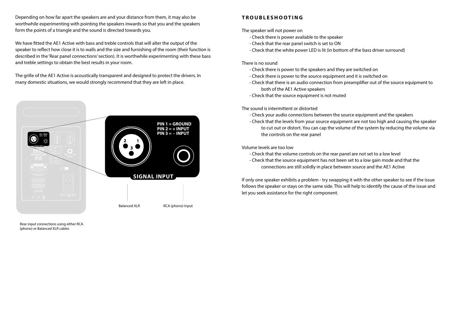Depending on how far apart the speakers are and your distance from them, it may also be worthwhile experimenting with pointing the speakers inwards so that you and the speakers form the points of a triangle and the sound is directed towards you.

We have fitted the AE1 Active with bass and treble controls that will alter the output of the speaker to reflect how close it is to walls and the size and furnishing of the room (their function is described in the 'Rear panel connections' section). It is worthwhile experimenting with these bass and treble settings to obtain the best results in your room.

The grille of the AE1 Active is acoustically transparent and designed to protect the drivers. In many domestic situations, we would strongly recommend that they are left in place.



Rear input connections using either RCA (phono) or Balanced XLR cables

# **T roub l e shoot in g**

The speaker will not power on

- Check there is power available to the speaker
- Check that the rear panel switch is set to ON
- Check that the white power LED is lit (in bottom of the bass driver surround)

# There is no sound

- Check there is power to the speakers and they are switched on
- Check there is power to the source equipment and it is switched on
- Check that there is an audio connection from preamplifier out of the source equipment to both of the AE1 Active speakers
- Check that the source equipment is not muted

The sound is intermittent or distorted

- Check your audio connections between the source equipment and the speakers
- Check that the levels from your source equipment are not too high and causing the speaker to cut out or distort. You can cap the volume of the system by reducing the volume via the controls on the rear panel

Volume levels are too low

- Check that the volume controls on the rear panel are not set to a low level
- Check that the source equipment has not been set to a low gain mode and that the connections are still solidly in place between source and the AE1 Active

If only one speaker exhibits a problem - try swapping it with the other speaker to see if the issue follows the speaker or stays on the same side. This will help to identify the cause of the issue and let you seek assistance for the right component.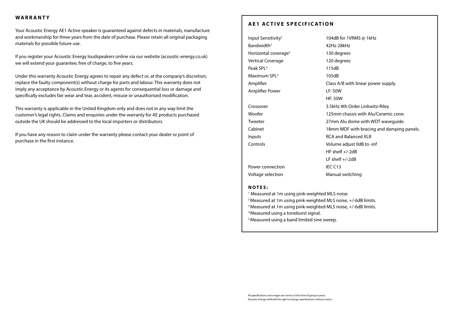# **War r anty**

Your Acoustic Energy AE1 Active speaker is guaranteed against defects in materials, manufacture and workmanship for three years from the date of purchase. Please retain all original packaging materials for possible future use.

If you register your Acoustic Energy loudspeakers online via our website (acoustic-energy.co.uk) we will extend your guarantee, free of charge, to five years.

Under this warranty Acoustic Energy agrees to repair any defect or, at the company's discretion, replace the faulty component(s) without charge for parts and labour. This warranty does not imply any acceptance by Acoustic Energy or its agents for consequential loss or damage and specifically excludes fair wear and tear, accident, misuse or unauthorised modification.

This warranty is applicable in the United Kingdom only and does not in any way limit the customer's legal rights. Claims and enquiries under the warranty for AE products purchased outside the UK should be addressed to the local importers or distributors.

If you have any reason to claim under the warranty please contact your dealer or point of purchase in the first instance.

# **AE1 ACTIVE SPECIFICATION**

| Input Sensitivity <sup>1</sup>   | 104dB for 1VRMS @ 1kHz                     |
|----------------------------------|--------------------------------------------|
| Bandwidth <sup>2</sup>           | 42Hz-28kHz                                 |
| Horizontal coverage <sup>3</sup> | 130 degrees                                |
| <b>Vertical Coverage</b>         | 120 degrees                                |
| Peak SPL <sup>4</sup>            | 115dB                                      |
| Maximum SPL <sup>5</sup>         | 105dB                                      |
| Amplifier                        | Class A/B with linear power supply.        |
| Amplifier Power                  | <b>LF: 50W</b>                             |
|                                  | <b>HF: 50W</b>                             |
| Crossover                        | 3.5kHz 4th Order Linkwitz-Riley            |
| Woofer                           | 125mm chassis with Alu/Ceramic cone.       |
| Tweeter                          | 27mm Alu dome with WDT waveguide.          |
| Cabinet                          | 18 mm MDF with bracing and damping panels. |
| Inputs                           | RCA and Balanced XLR                       |
| Controls                         | Volume adjust 0dB to -inf                  |
|                                  | HF shelf $+/-2dB$                          |
|                                  | LF shelf $+/-2dB$                          |
| Power connection                 | IEC C13                                    |
| Voltage selection                | Manual switching                           |

### **N o t e s :**

- <sup>1</sup> Measured at 1m using pink-weighted MLS noise.
- <sup>2</sup> Measured at 1m using pink-weighted MLS noise, +/-6dB limits.
- <sup>3</sup> Measured at 1m using pink-weighted MLS noise, +/-6dB limits.
- 4 Measured using a toneburst signal.
- 5 Measured using a band limited sine sweep.